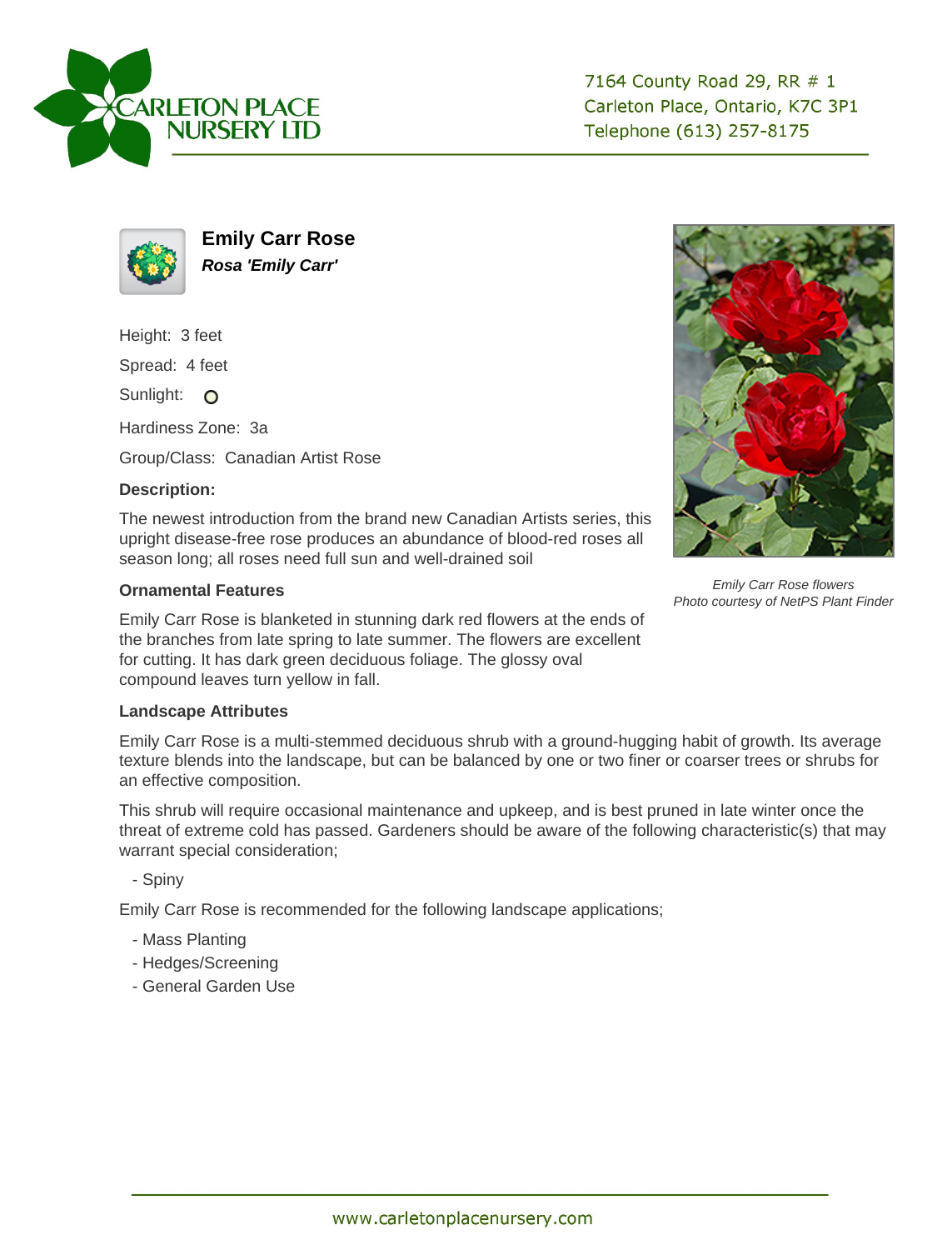

7164 County Road 29, RR # 1 Carleton Place, Ontario, K7C 3P1 Telephone (613) 257-8175



**Emily Carr Rose Rosa 'Emily Carr'**

Height: 3 feet

Spread: 4 feet

Sunlight: O

Hardiness Zone: 3a

Group/Class: Canadian Artist Rose

## **Description:**

The newest introduction from the brand new Canadian Artists series, this upright disease-free rose produces an abundance of blood-red roses all season long; all roses need full sun and well-drained soil

## **Ornamental Features**

Emily Carr Rose is blanketed in stunning dark red flowers at the ends of the branches from late spring to late summer. The flowers are excellent for cutting. It has dark green deciduous foliage. The glossy oval compound leaves turn yellow in fall.

## **Landscape Attributes**

Emily Carr Rose is a multi-stemmed deciduous shrub with a ground-hugging habit of growth. Its average texture blends into the landscape, but can be balanced by one or two finer or coarser trees or shrubs for an effective composition.

This shrub will require occasional maintenance and upkeep, and is best pruned in late winter once the threat of extreme cold has passed. Gardeners should be aware of the following characteristic(s) that may warrant special consideration;

- Spiny

Emily Carr Rose is recommended for the following landscape applications;

- Mass Planting
- Hedges/Screening
- General Garden Use



Emily Carr Rose flowers Photo courtesy of NetPS Plant Finder